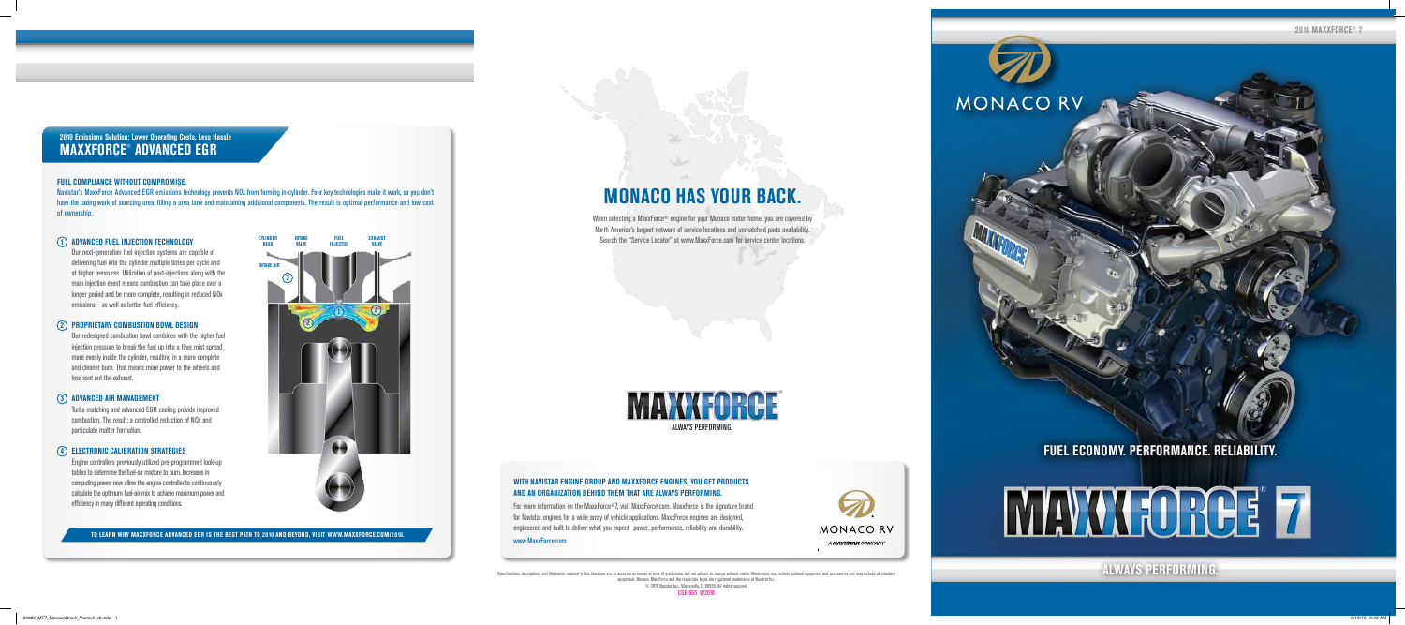Specifications, descriptions and illustrative material in this literature are as accurate as known at time of publication, but are subject to change without notice. Illustrations may include optional equipment and accessor equipment. Monaco, MaxxForce and the respective logos are registered trademarks of Navistar Inc. © 2010 Navistar Inc., Warrenville, IL 60555 All rights reserved.

CGE-665 8/2010

**MONACO HAS YOUR BACK.** When selecting a MaxxForce® engine for your Monaco motor home, you are covered by North America's largest network of service locations and unmatched parts availability. Search the "Service Locator" at www.MaxxForce.com for service center locations.

Our next-generation fuel injection systems are capable of delivering fuel into the cylinder multiple times per cycle and at higher pressures. Utilization of post-injections along with the main injection event means combustion can take place over a longer period and be more complete, resulting in reduced NOx emissions – as well as better fuel efficiency.

Our redesigned combustion bowl combines with the higher fuel injection pressure to break the fuel up into a finer mist spread more evenly inside the cylinder, resulting in a more complete and cleaner burn. That means more power to the wheels and less soot out the exhaust.

> For more information on the MaxxForce®7, visit MaxxForce.com. MaxxForce is the signature brand for Navistar engines for a wide array of vehicle applications. MaxxForce engines are designed, engineered and built to deliver what you expect—power, performance, reliability and durability.

Turbo matching and advanced EGR cooling provide improved combustion. The result: a controlled reduction of NOx and particulate matter formation.



# **Proprietary Combustion Bowl Design 2**

Engine controllers previously utilized pre-programmed look-up tables to determine the fuel-air mixture to burn. Increases in computing power now allow the engine controller to continuously calculate the optimum fuel-air mix to achieve maximum power and efficiency in many different operating conditions.

# **Advanced Air Management 3**

**2010 Emissions Solution: Lower Operating Costs, Less Hassle MAXXFORCE® ADVANCED EGR**

# **Electronic Calibration Strategies 4**

# **Full Compliance Without Compromise.**

Navistar's MaxxForce Advanced EGR emissions technology prevents NOx from forming in-cylinder. Four key technologies make it work, so you don't have the taxing work of sourcing urea, filling a urea tank and maintaining additional components. The result is optimal performance and low cost of ownership.

# **ADVANCED FUEL INJECTION T**



**To learn why MaxxForce Advanced EGR is the best path to 2010 and beyond, visit www.MaxxForce.com/2010.**

# **FUEL ECONOMY. PERFORMANCE. RELIABILITY.**

MONACO RV

# **MAYAHORCE 7**



# **With NAVISTAR Engine Group and MaxxForce engines, you get products and an organization behind them that are always performing.**

### www.MaxxForce.com

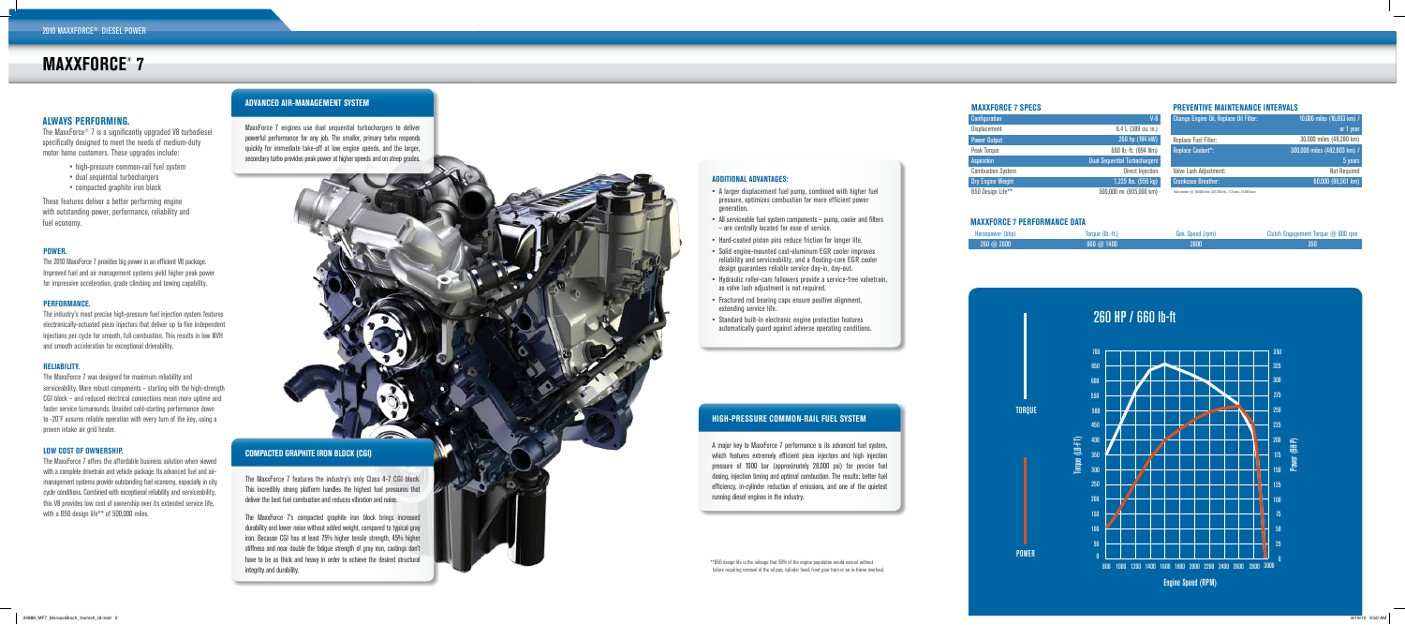# **MAXXFORCE ® 7**

# **MAXXFORCE 7 SPECS**



# **M axxforce 7 Performance Data**

450

225

150<br>150<br>150 150



300

| Configuration            | $V - 8$                              |  |
|--------------------------|--------------------------------------|--|
| <b>Displacement</b>      | 6.4 L (389 cu. in.)                  |  |
| <b>Power Output</b>      | 260 hp (194 kW)                      |  |
| Peak Torque              | 660 lb.-ft. (894 Nm)                 |  |
| <b>Aspiration</b>        | <b>Dual Sequential Turbochargers</b> |  |
| <b>Combustion System</b> | <b>Direct Injection</b>              |  |
| <b>Dry Engine Weight</b> | 1,225 lbs. (556 kg)                  |  |
| B50 Design Life**        | 500,000 mi (805,000 km)              |  |

7

# **PREVENTIVE MAINTENANCE INTERVALS**

| $V - 8$  | Change Engine Oil, Replace Oil Filter:                               | 10,000 miles (16,093 km) /   |
|----------|----------------------------------------------------------------------|------------------------------|
| cu. in.) |                                                                      | or 1 year                    |
| 14 kW)   | <b>Replace Fuel Filter:</b>                                          | 30,000 miles (48,280 km)     |
| 14 Nm)   | <b>Replace Coolant*:</b>                                             | 300,000 miles (482,803 km) / |
| argers   |                                                                      | 5 years                      |
| jection  | Valve Lash Adjustment:                                               | <b>Not Required</b>          |
| $56$ kg) | <b>Crankcase Breather:</b>                                           | 60,000 (96,561 km)           |
| 00 km)   | *Add extender @ 150,000 miles (241,400 km) / 2.5 years / 6,000 hours |                              |

| Horsepower (bhp) | Torque (lb.-ft.)  | Gov. Speed (rpm) | <b>Clutch Engagement Torque <math>@</math> 8</b> |
|------------------|-------------------|------------------|--------------------------------------------------|
| $260 \ @ 2600$   | $660 \omega 1400$ | 2800             | 350                                              |
|                  |                   |                  |                                                  |
|                  |                   |                  |                                                  |





300

Engine Speed (RPM)

240 HP / 620 lb-ft

RNO rnm

MaxxForce 7 engines use dual sequential turbochargers to deliver powerful performance for any job. The smaller, primary turbo responds quickly for immediate take-off at low engine speeds, and the larger, **ADVANCED AIR-MANAGEMENT SYSTEM**<br>MaxxForce 7 engines use dual sequential turbochargers to deliver<br>powerful performance for any job. The smaller, primary turbo responds<br>quickly for immediate take-off at low engine speeds, a

POWER

### **Power .**

The 2010 MaxxForce 7 provides big power in an efficient V8 package. Improved fuel and air management systems yield higher peak power for impressive acceleration, grade climbing and towing capability.

# **Performance.**

The industry's most precise high-pressure fuel injection system features electronically-actuated piezo injectors that deliver up to five independent injections per cycle for smooth, full combustion. This results in low NVH and smooth acceleration for exceptional driveability.

# **Reliability.**

The MaxxForce 7 was designed for maximum reliability and serviceability. More robust components – starting with the high-strength CGI block – and reduced electrical connections mean more uptime and faster service turnarounds. Unaided cold-starting performance down to -20˚F assures reliable operation with every turn of the key, using a proven intake air grid heater.

## **Low cost of ownership.**

The MaxxForce 7 offers the affordable business solution when viewed with a complete drivetrain and vehicle package. Its advanced fuel and airmanagement systems provide outstanding fuel economy, especially in city cycle conditions. Combined with exceptional reliability and serviceability, this V8 provides low cost of ownership over its extended service life, with a B50 design life\*\* of 500,000 miles.

The MaxxForce ® 7 is a significantly upgraded V8 turbodiesel specifically designed to meet the needs of medium-duty motor home customers. These upgrades include:

- high-pressure common-rail fuel system
- dual sequential turbochargers
- compacted graphite iron block

These features deliver a better performing engine with outstanding power, performance, reliability and fuel economy.

# **ALWAYS PERFORMING.**

\*\*B50 design life is the mileage that 50% of the engine population would exceed without failure requiring removal of the oil pan, cylinder head, front gear train or an in-frame overhaul.

A major key to MaxxForce 7 performance is its advanced fuel system, which features extremely efficient piezo injectors and high injection pressure of 1900 bar (approximately 28,000 psi) for precise fuel dosing, injection timing and optimal combustion. The results: better fuel efficiency, in-cylinder reduction of emissions, and one of the quietest running diesel engines in the industry.

# **HIGH-PRESSURE COMMON-RAIL FUEL SYS TEM**

The MaxxForce 7 features the industry's only Class 4-7 CGI block. This incredibly strong platform handles the highest fuel pressures that deliver the best fuel combustion and reduces vibration and noise.

The MaxxForce 7's compacted graphite iron block brings increased durability and lower noise without added weight, compared to typical gray iron. Because CGI has at least 75% higher tensile strength, 45% higher stiffness and near double the fatigue strength of gray iron, castings don't have to be as thick and heavy in order to achieve the desired structural integrity and durability.

# **COMPAC T E D GRAPHI TE IRON BLOCK (CGI)**

# **add i tional advan tages :**

- A larger displacement fuel pump, combined with higher fuel pressure, optimizes combustion for more efficient power generation.
- All serviceable fuel system components pump, cooler and filters – are centrally located for ease of service.
- Hard-coated piston pins reduce friction for longer life.
- Solid engine-mounted cast-aluminum EGR cooler improves reliability and serviceability, and a floating-core EGR cooler design guarantees reliable service day-in, day-out.
- Hydraulic roller-cam followers provide a service-free valvetrain, as valve lash adjustment is not required.
- Fractured rod bearing caps ensure positive alignment, extending service life.
- Standard built-in electronic engine protection features automatically guard against adverse operating conditions.